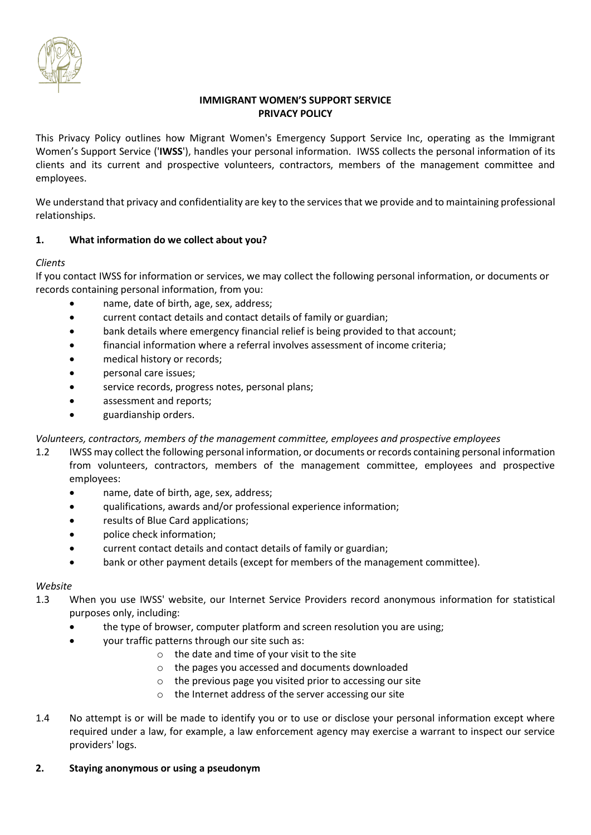

# **IMMIGRANT WOMEN'S SUPPORT SERVICE PRIVACY POLICY**

This Privacy Policy outlines how Migrant Women's Emergency Support Service Inc, operating as the Immigrant Women's Support Service ('**IWSS**'), handles your personal information. IWSS collects the personal information of its clients and its current and prospective volunteers, contractors, members of the management committee and employees.

We understand that privacy and confidentiality are key to the services that we provide and to maintaining professional relationships.

# **1. What information do we collect about you?**

# *Clients*

If you contact IWSS for information or services, we may collect the following personal information, or documents or records containing personal information, from you:

- name, date of birth, age, sex, address;
- current contact details and contact details of family or guardian;
- bank details where emergency financial relief is being provided to that account;
- financial information where a referral involves assessment of income criteria;
- medical history or records;
- personal care issues;
- service records, progress notes, personal plans;
- assessment and reports;
- guardianship orders.

## *Volunteers, contractors, members of the management committee, employees and prospective employees*

- 1.2 IWSS may collect the following personal information, or documents or records containing personal information from volunteers, contractors, members of the management committee, employees and prospective employees:
	- name, date of birth, age, sex, address;
	- qualifications, awards and/or professional experience information;
	- results of Blue Card applications;
	- police check information;
	- current contact details and contact details of family or guardian;
	- bank or other payment details (except for members of the management committee).

## *Website*

- 1.3 When you use IWSS' website, our Internet Service Providers record anonymous information for statistical purposes only, including:
	- the type of browser, computer platform and screen resolution you are using;
	- your traffic patterns through our site such as:
		- o the date and time of your visit to the site
		- o the pages you accessed and documents downloaded
		- o the previous page you visited prior to accessing our site
		- o the Internet address of the server accessing our site
- 1.4 No attempt is or will be made to identify you or to use or disclose your personal information except where required under a law, for example, a law enforcement agency may exercise a warrant to inspect our service providers' logs.

## **2. Staying anonymous or using a pseudonym**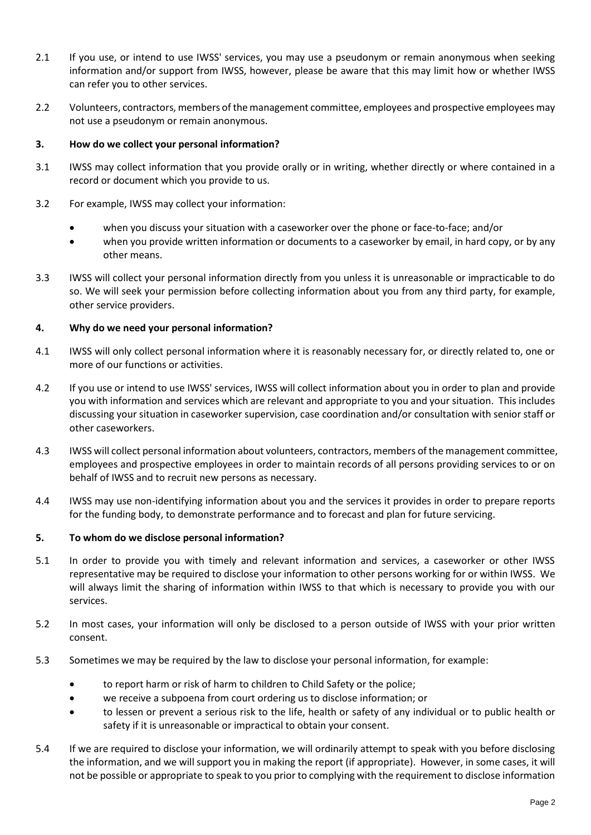- 2.1 If you use, or intend to use IWSS' services, you may use a pseudonym or remain anonymous when seeking information and/or support from IWSS, however, please be aware that this may limit how or whether IWSS can refer you to other services.
- 2.2 Volunteers, contractors, members of the management committee, employees and prospective employees may not use a pseudonym or remain anonymous.

### **3. How do we collect your personal information?**

- 3.1 IWSS may collect information that you provide orally or in writing, whether directly or where contained in a record or document which you provide to us.
- 3.2 For example, IWSS may collect your information:
	- when you discuss your situation with a caseworker over the phone or face-to-face; and/or
	- when you provide written information or documents to a caseworker by email, in hard copy, or by any other means.
- 3.3 IWSS will collect your personal information directly from you unless it is unreasonable or impracticable to do so. We will seek your permission before collecting information about you from any third party, for example, other service providers.

### **4. Why do we need your personal information?**

- 4.1 IWSS will only collect personal information where it is reasonably necessary for, or directly related to, one or more of our functions or activities.
- 4.2 If you use or intend to use IWSS' services, IWSS will collect information about you in order to plan and provide you with information and services which are relevant and appropriate to you and your situation. This includes discussing your situation in caseworker supervision, case coordination and/or consultation with senior staff or other caseworkers.
- 4.3 IWSS will collect personal information about volunteers, contractors, members of the management committee, employees and prospective employees in order to maintain records of all persons providing services to or on behalf of IWSS and to recruit new persons as necessary.
- 4.4 IWSS may use non-identifying information about you and the services it provides in order to prepare reports for the funding body, to demonstrate performance and to forecast and plan for future servicing.

#### **5. To whom do we disclose personal information?**

- 5.1 In order to provide you with timely and relevant information and services, a caseworker or other IWSS representative may be required to disclose your information to other persons working for or within IWSS. We will always limit the sharing of information within IWSS to that which is necessary to provide you with our services.
- 5.2 In most cases, your information will only be disclosed to a person outside of IWSS with your prior written consent.
- 5.3 Sometimes we may be required by the law to disclose your personal information, for example:
	- to report harm or risk of harm to children to Child Safety or the police;
	- we receive a subpoena from court ordering us to disclose information; or
	- to lessen or prevent a serious risk to the life, health or safety of any individual or to public health or safety if it is unreasonable or impractical to obtain your consent.
- 5.4 If we are required to disclose your information, we will ordinarily attempt to speak with you before disclosing the information, and we will support you in making the report (if appropriate). However, in some cases, it will not be possible or appropriate to speak to you prior to complying with the requirement to disclose information